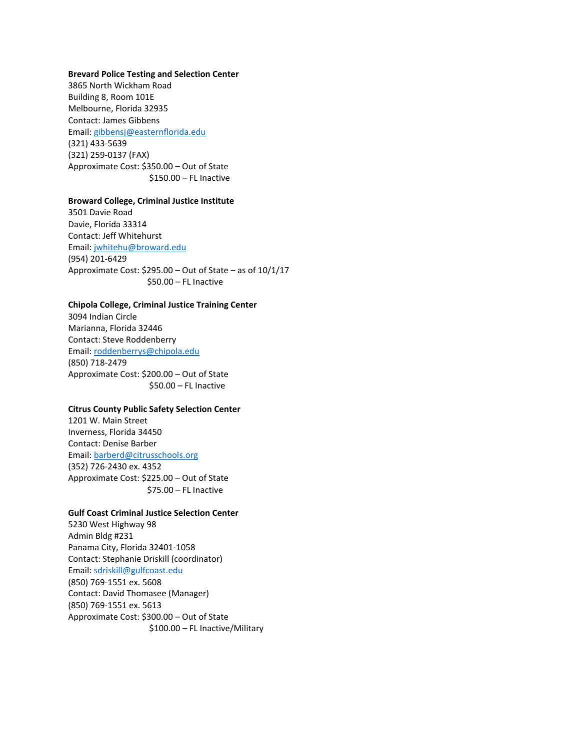#### **Brevard Police Testing and Selection Center**

3865 North Wickham Road Building 8, Room 101E Melbourne, Florida 32935 Contact: James Gibbens Email: [gibbensj@easternflorida.edu](mailto:gibbensj@easternflorida.edu) (321) 433-5639 (321) 259-0137 (FAX) Approximate Cost: \$350.00 – Out of State \$150.00 – FL Inactive

#### **Broward College, Criminal Justice Institute**

3501 Davie Road Davie, Florida 33314 Contact: Jeff Whitehurst Email: [jwhitehu@broward.edu](mailto:jwhitehu@broward.edu) (954) 201-6429 Approximate Cost: \$295.00 – Out of State – as of 10/1/17 \$50.00 – FL Inactive

## **Chipola College, Criminal Justice Training Center**

3094 Indian Circle Marianna, Florida 32446 Contact: Steve Roddenberry Email: [roddenberrys@chipola.edu](mailto:roddenberrys@chipola.edu) (850) 718-2479 Approximate Cost: \$200.00 – Out of State \$50.00 – FL Inactive

### **Citrus County Public Safety Selection Center**

1201 W. Main Street Inverness, Florida 34450 Contact: Denise Barber Email: [barberd@citrusschools.org](mailto:barberd@citrusschools.org) (352) 726-2430 ex. 4352 Approximate Cost: \$225.00 – Out of State \$75.00 – FL Inactive

## **Gulf Coast Criminal Justice Selection Center**

5230 West Highway 98 Admin Bldg #231 Panama City, Florida 32401-1058 Contact: Stephanie Driskill (coordinator) Email: [sdriskill@gulfcoast.edu](mailto:sdriskill@gulfcoast.edu) (850) 769-1551 ex. 5608 Contact: David Thomasee (Manager) (850) 769-1551 ex. 5613 Approximate Cost: \$300.00 – Out of State \$100.00 – FL Inactive/Military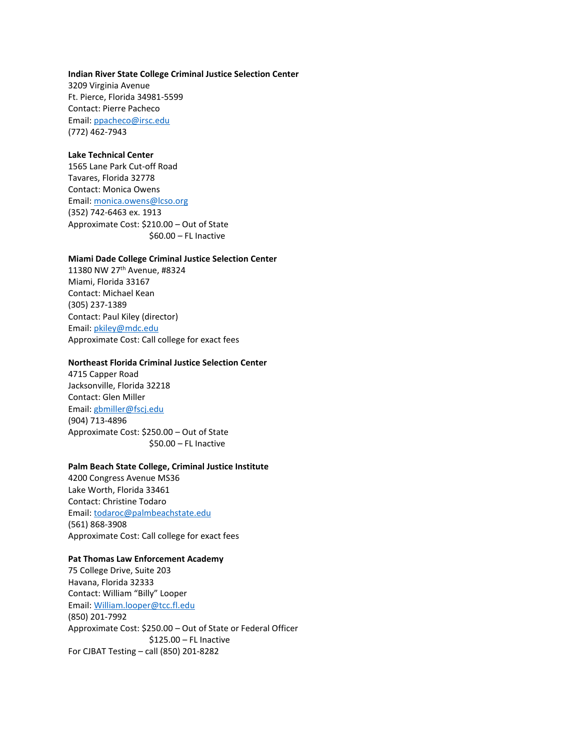#### **Indian River State College Criminal Justice Selection Center**

3209 Virginia Avenue Ft. Pierce, Florida 34981-5599 Contact: Pierre Pacheco Email: [ppacheco@irsc.edu](mailto:ppacheco@irsc.edu) (772) 462-7943

# **Lake Technical Center**

1565 Lane Park Cut-off Road Tavares, Florida 32778 Contact: Monica Owens Email: [monica.owens@lcso.org](mailto:monica.owens@lcso.org) (352) 742-6463 ex. 1913 Approximate Cost: \$210.00 – Out of State \$60.00 – FL Inactive

#### **Miami Dade College Criminal Justice Selection Center**

11380 NW 27th Avenue, #8324 Miami, Florida 33167 Contact: Michael Kean (305) 237-1389 Contact: Paul Kiley (director) Email: [pkiley@mdc.edu](mailto:pkiley@mdc.edu) Approximate Cost: Call college for exact fees

### **Northeast Florida Criminal Justice Selection Center**

4715 Capper Road Jacksonville, Florida 32218 Contact: Glen Miller Email: [gbmiller@fscj.edu](mailto:gbmiller@fscj.edu) (904) 713-4896 Approximate Cost: \$250.00 – Out of State \$50.00 – FL Inactive

### **Palm Beach State College, Criminal Justice Institute**

4200 Congress Avenue MS36 Lake Worth, Florida 33461 Contact: Christine Todaro Email: [todaroc@palmbeachstate.edu](mailto:todaroc@palmbeachstate.edu) (561) 868-3908 Approximate Cost: Call college for exact fees

## **Pat Thomas Law Enforcement Academy**

75 College Drive, Suite 203 Havana, Florida 32333 Contact: William "Billy" Looper Email: [William.looper@tcc.fl.edu](mailto:William.looper@tcc.fl.edu) (850) 201-7992 Approximate Cost: \$250.00 – Out of State or Federal Officer \$125.00 – FL Inactive For CJBAT Testing – call (850) 201-8282